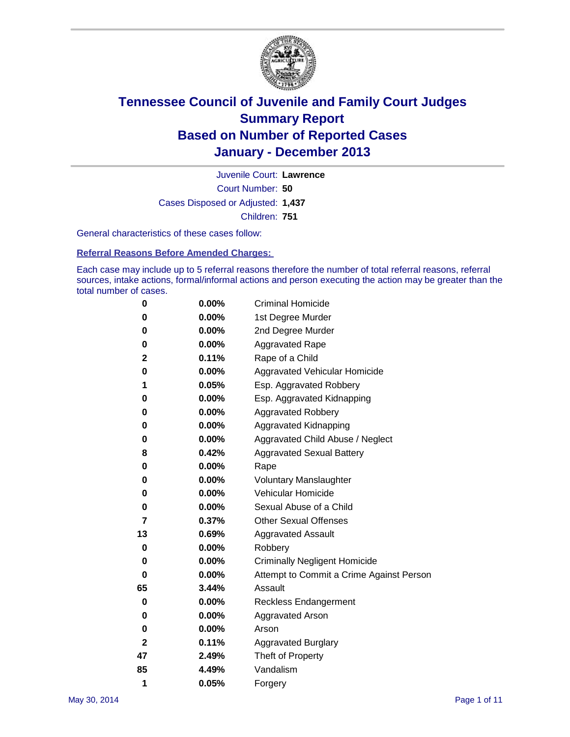

Court Number: **50** Juvenile Court: **Lawrence** Cases Disposed or Adjusted: **1,437** Children: **751**

General characteristics of these cases follow:

**Referral Reasons Before Amended Charges:** 

Each case may include up to 5 referral reasons therefore the number of total referral reasons, referral sources, intake actions, formal/informal actions and person executing the action may be greater than the total number of cases.

| 0            | 0.00%    | <b>Criminal Homicide</b>                 |
|--------------|----------|------------------------------------------|
| 0            | 0.00%    | 1st Degree Murder                        |
| 0            | 0.00%    | 2nd Degree Murder                        |
| 0            | $0.00\%$ | <b>Aggravated Rape</b>                   |
| 2            | 0.11%    | Rape of a Child                          |
| 0            | 0.00%    | <b>Aggravated Vehicular Homicide</b>     |
| 1            | 0.05%    | Esp. Aggravated Robbery                  |
| 0            | 0.00%    | Esp. Aggravated Kidnapping               |
| 0            | 0.00%    | <b>Aggravated Robbery</b>                |
| 0            | 0.00%    | Aggravated Kidnapping                    |
| 0            | 0.00%    | Aggravated Child Abuse / Neglect         |
| 8            | 0.42%    | <b>Aggravated Sexual Battery</b>         |
| 0            | 0.00%    | Rape                                     |
| 0            | 0.00%    | <b>Voluntary Manslaughter</b>            |
| 0            | 0.00%    | Vehicular Homicide                       |
| 0            | 0.00%    | Sexual Abuse of a Child                  |
| 7            | 0.37%    | <b>Other Sexual Offenses</b>             |
| 13           | 0.69%    | <b>Aggravated Assault</b>                |
| 0            | 0.00%    | Robbery                                  |
| 0            | 0.00%    | <b>Criminally Negligent Homicide</b>     |
| 0            | 0.00%    | Attempt to Commit a Crime Against Person |
| 65           | 3.44%    | Assault                                  |
| 0            | 0.00%    | <b>Reckless Endangerment</b>             |
| 0            | 0.00%    | <b>Aggravated Arson</b>                  |
| 0            | 0.00%    | Arson                                    |
| $\mathbf{2}$ | 0.11%    | <b>Aggravated Burglary</b>               |
| 47           | 2.49%    | Theft of Property                        |
| 85           | 4.49%    | Vandalism                                |
| 1            | 0.05%    | Forgery                                  |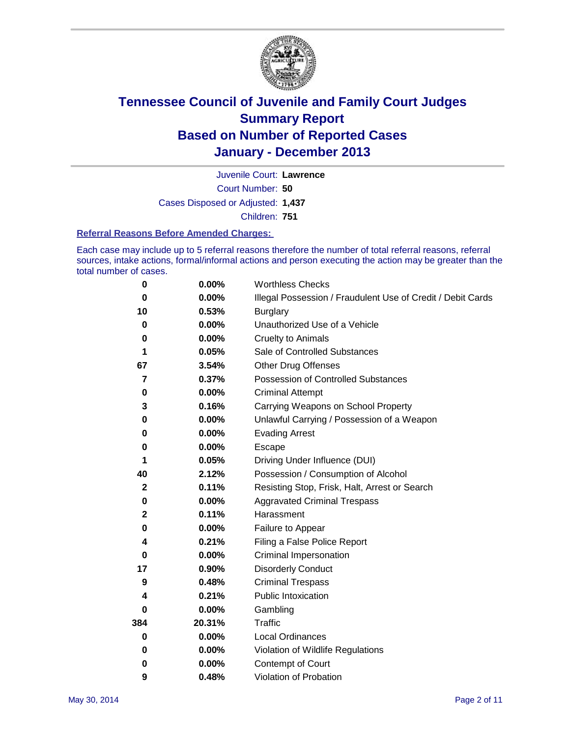

Court Number: **50** Juvenile Court: **Lawrence** Cases Disposed or Adjusted: **1,437** Children: **751**

#### **Referral Reasons Before Amended Charges:**

Each case may include up to 5 referral reasons therefore the number of total referral reasons, referral sources, intake actions, formal/informal actions and person executing the action may be greater than the total number of cases.

| 0            | 0.00%    | <b>Worthless Checks</b>                                     |  |  |
|--------------|----------|-------------------------------------------------------------|--|--|
| 0            | 0.00%    | Illegal Possession / Fraudulent Use of Credit / Debit Cards |  |  |
| 10           | 0.53%    | <b>Burglary</b>                                             |  |  |
| 0            | 0.00%    | Unauthorized Use of a Vehicle                               |  |  |
| 0            | 0.00%    | <b>Cruelty to Animals</b>                                   |  |  |
| 1            | 0.05%    | Sale of Controlled Substances                               |  |  |
| 67           | 3.54%    | <b>Other Drug Offenses</b>                                  |  |  |
| 7            | 0.37%    | Possession of Controlled Substances                         |  |  |
| $\pmb{0}$    | 0.00%    | <b>Criminal Attempt</b>                                     |  |  |
| 3            | 0.16%    | Carrying Weapons on School Property                         |  |  |
| 0            | 0.00%    | Unlawful Carrying / Possession of a Weapon                  |  |  |
| 0            | 0.00%    | <b>Evading Arrest</b>                                       |  |  |
| 0            | 0.00%    | Escape                                                      |  |  |
| 1            | 0.05%    | Driving Under Influence (DUI)                               |  |  |
| 40           | 2.12%    | Possession / Consumption of Alcohol                         |  |  |
| $\mathbf{2}$ | 0.11%    | Resisting Stop, Frisk, Halt, Arrest or Search               |  |  |
| 0            | 0.00%    | <b>Aggravated Criminal Trespass</b>                         |  |  |
| $\mathbf{2}$ | 0.11%    | Harassment                                                  |  |  |
| 0            | 0.00%    | Failure to Appear                                           |  |  |
| 4            | 0.21%    | Filing a False Police Report                                |  |  |
| 0            | 0.00%    | Criminal Impersonation                                      |  |  |
| 17           | 0.90%    | <b>Disorderly Conduct</b>                                   |  |  |
| 9            | 0.48%    | <b>Criminal Trespass</b>                                    |  |  |
| 4            | 0.21%    | <b>Public Intoxication</b>                                  |  |  |
| 0            | 0.00%    | Gambling                                                    |  |  |
| 384          | 20.31%   | <b>Traffic</b>                                              |  |  |
| $\bf{0}$     | $0.00\%$ | <b>Local Ordinances</b>                                     |  |  |
| 0            | 0.00%    | Violation of Wildlife Regulations                           |  |  |
| 0            | 0.00%    | Contempt of Court                                           |  |  |
| 9            | 0.48%    | Violation of Probation                                      |  |  |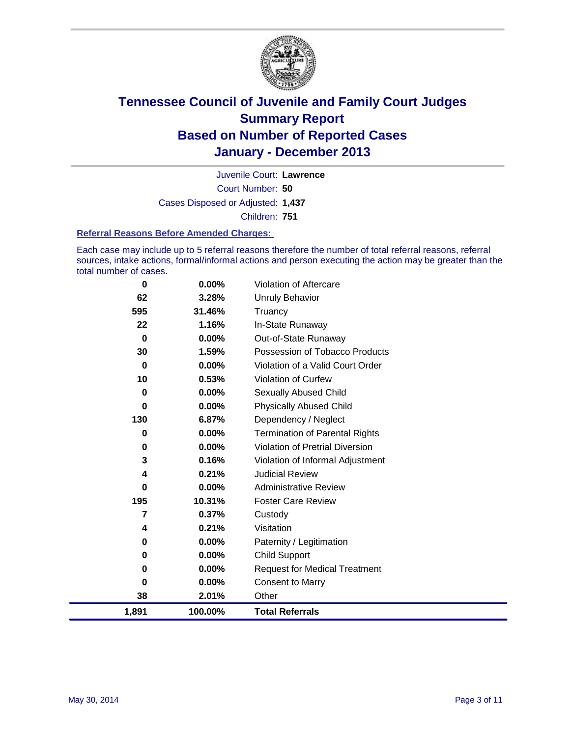

Court Number: **50** Juvenile Court: **Lawrence** Cases Disposed or Adjusted: **1,437** Children: **751**

#### **Referral Reasons Before Amended Charges:**

Each case may include up to 5 referral reasons therefore the number of total referral reasons, referral sources, intake actions, formal/informal actions and person executing the action may be greater than the total number of cases.

| $\bf{0}$ | 0.00%    | <b>Violation of Aftercare</b>          |
|----------|----------|----------------------------------------|
| 62       | 3.28%    | Unruly Behavior                        |
| 595      | 31.46%   | Truancy                                |
| 22       | 1.16%    | In-State Runaway                       |
| $\bf{0}$ | $0.00\%$ | Out-of-State Runaway                   |
| 30       | 1.59%    | Possession of Tobacco Products         |
| $\bf{0}$ | 0.00%    | Violation of a Valid Court Order       |
| 10       | 0.53%    | Violation of Curfew                    |
| 0        | $0.00\%$ | <b>Sexually Abused Child</b>           |
| 0        | 0.00%    | <b>Physically Abused Child</b>         |
| 130      | 6.87%    | Dependency / Neglect                   |
| 0        | $0.00\%$ | <b>Termination of Parental Rights</b>  |
| 0        | 0.00%    | <b>Violation of Pretrial Diversion</b> |
| 3        | 0.16%    | Violation of Informal Adjustment       |
| 4        | 0.21%    | <b>Judicial Review</b>                 |
| 0        | $0.00\%$ | <b>Administrative Review</b>           |
| 195      | 10.31%   | <b>Foster Care Review</b>              |
| 7        | 0.37%    | Custody                                |
| 4        | 0.21%    | Visitation                             |
| 0        | $0.00\%$ | Paternity / Legitimation               |
| 0        | 0.00%    | <b>Child Support</b>                   |
| 0        | 0.00%    | <b>Request for Medical Treatment</b>   |
| $\bf{0}$ | 0.00%    | <b>Consent to Marry</b>                |
| 38       | 2.01%    | Other                                  |
| 1,891    | 100.00%  | <b>Total Referrals</b>                 |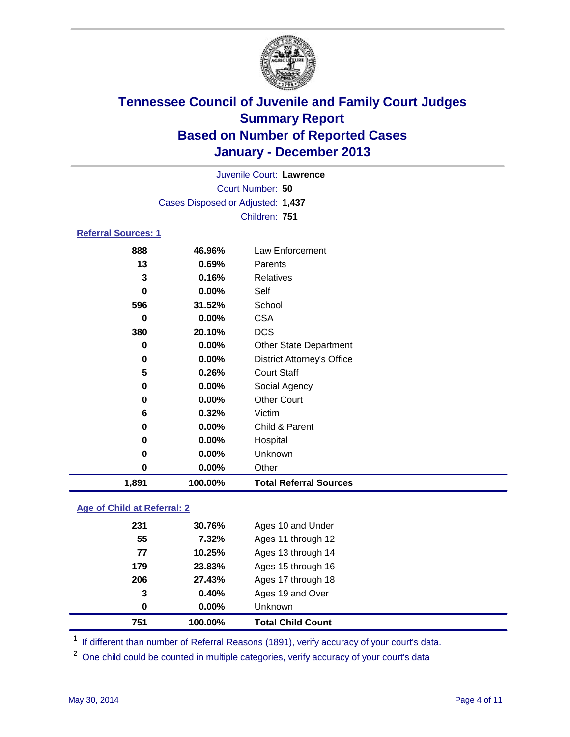

Court Number: **50** Juvenile Court: **Lawrence** Cases Disposed or Adjusted: **1,437** Children: **751**

### **Referral Sources: 1**

| 0<br>0<br>0<br>0 | 0.00%<br>0.00%<br>$0.00\%$<br>0.00% | Child & Parent<br>Hospital<br>Unknown<br>Other |
|------------------|-------------------------------------|------------------------------------------------|
|                  |                                     |                                                |
|                  |                                     |                                                |
|                  |                                     |                                                |
|                  |                                     |                                                |
| 6                | 0.32%                               | Victim                                         |
| 0                | 0.00%                               | <b>Other Court</b>                             |
| 0                | 0.00%                               | Social Agency                                  |
| 5                | 0.26%                               | <b>Court Staff</b>                             |
| 0                | 0.00%                               | <b>District Attorney's Office</b>              |
| 0                | 0.00%                               | <b>Other State Department</b>                  |
| 380              | 20.10%                              | <b>DCS</b>                                     |
| 0                | 0.00%                               | <b>CSA</b>                                     |
| 596              | 31.52%                              | School                                         |
| 0                | 0.00%                               | Self                                           |
| 3                | 0.16%                               | <b>Relatives</b>                               |
| 13               | 0.69%                               | Parents                                        |
| 888              | 46.96%                              | Law Enforcement                                |
|                  |                                     |                                                |

### **Age of Child at Referral: 2**

| 751 | 100.00%  | <b>Total Child Count</b> |
|-----|----------|--------------------------|
| 0   | $0.00\%$ | Unknown                  |
| 3   | 0.40%    | Ages 19 and Over         |
| 206 | 27.43%   | Ages 17 through 18       |
| 179 | 23.83%   | Ages 15 through 16       |
| 77  | 10.25%   | Ages 13 through 14       |
| 55  | 7.32%    | Ages 11 through 12       |
| 231 | 30.76%   | Ages 10 and Under        |
|     |          |                          |

<sup>1</sup> If different than number of Referral Reasons (1891), verify accuracy of your court's data.

<sup>2</sup> One child could be counted in multiple categories, verify accuracy of your court's data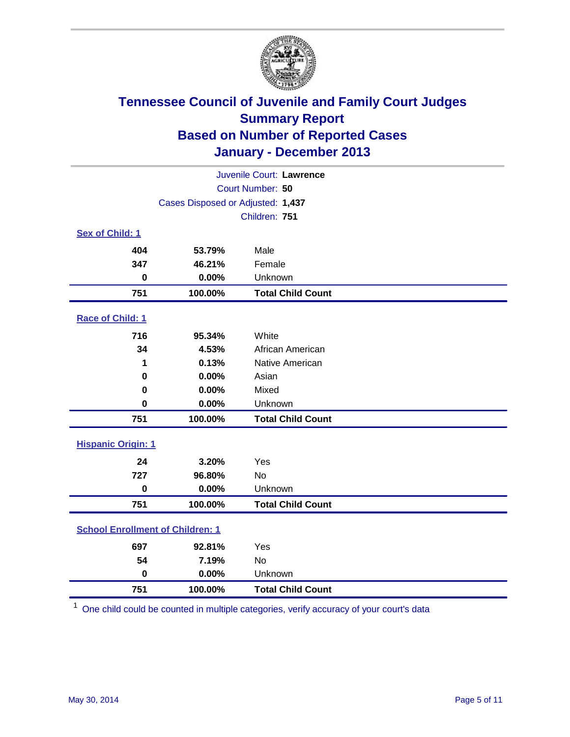

| Juvenile Court: Lawrence                |                                   |                          |  |  |
|-----------------------------------------|-----------------------------------|--------------------------|--|--|
| Court Number: 50                        |                                   |                          |  |  |
|                                         | Cases Disposed or Adjusted: 1,437 |                          |  |  |
|                                         |                                   | Children: 751            |  |  |
| Sex of Child: 1                         |                                   |                          |  |  |
| 404                                     | 53.79%                            | Male                     |  |  |
| 347                                     | 46.21%                            | Female                   |  |  |
| $\mathbf 0$                             | 0.00%                             | Unknown                  |  |  |
| 751                                     | 100.00%                           | <b>Total Child Count</b> |  |  |
| Race of Child: 1                        |                                   |                          |  |  |
| 716                                     | 95.34%                            | White                    |  |  |
| 34                                      | 4.53%                             | African American         |  |  |
| 1                                       | 0.13%                             | Native American          |  |  |
| $\bf{0}$                                | 0.00%                             | Asian                    |  |  |
| 0                                       | 0.00%                             | Mixed                    |  |  |
| 0                                       | 0.00%                             | Unknown                  |  |  |
| 751                                     | 100.00%                           | <b>Total Child Count</b> |  |  |
| <b>Hispanic Origin: 1</b>               |                                   |                          |  |  |
| 24                                      | 3.20%                             | Yes                      |  |  |
| 727                                     | 96.80%                            | No                       |  |  |
| $\bf{0}$                                | 0.00%                             | Unknown                  |  |  |
| 751                                     | 100.00%                           | <b>Total Child Count</b> |  |  |
| <b>School Enrollment of Children: 1</b> |                                   |                          |  |  |
| 697                                     | 92.81%                            | Yes                      |  |  |
| 54                                      | 7.19%                             | <b>No</b>                |  |  |
| $\mathbf 0$                             | 0.00%                             | Unknown                  |  |  |
| 751                                     | 100.00%                           | <b>Total Child Count</b> |  |  |

One child could be counted in multiple categories, verify accuracy of your court's data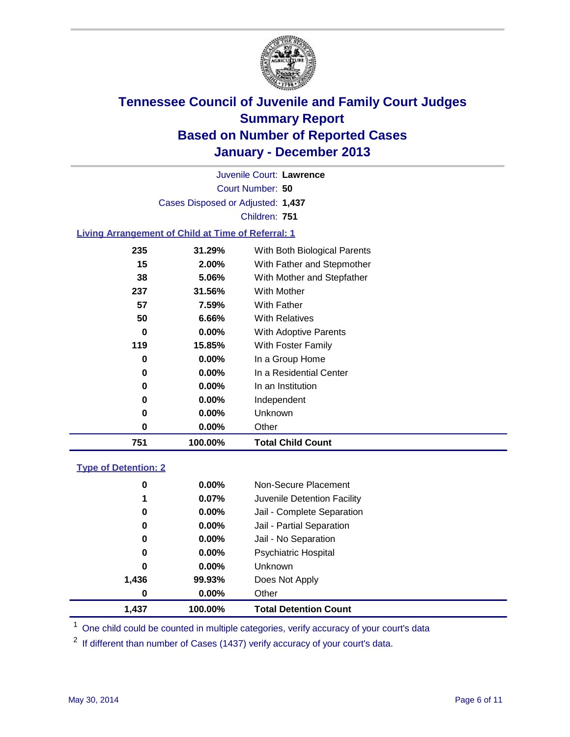

Court Number: **50** Juvenile Court: **Lawrence** Cases Disposed or Adjusted: **1,437** Children: **751**

### **Living Arrangement of Child at Time of Referral: 1**

| 751 | 100.00%  | <b>Total Child Count</b>     |
|-----|----------|------------------------------|
| 0   | $0.00\%$ | Other                        |
| 0   | $0.00\%$ | Unknown                      |
| 0   | $0.00\%$ | Independent                  |
| 0   | $0.00\%$ | In an Institution            |
| 0   | $0.00\%$ | In a Residential Center      |
| 0   | $0.00\%$ | In a Group Home              |
| 119 | 15.85%   | With Foster Family           |
| 0   | 0.00%    | With Adoptive Parents        |
| 50  | 6.66%    | <b>With Relatives</b>        |
| 57  | 7.59%    | With Father                  |
| 237 | 31.56%   | With Mother                  |
| 38  | 5.06%    | With Mother and Stepfather   |
| 15  | $2.00\%$ | With Father and Stepmother   |
| 235 | 31.29%   | With Both Biological Parents |
|     |          |                              |

### **Type of Detention: 2**

| 1,437 | 100.00%  | <b>Total Detention Count</b> |  |
|-------|----------|------------------------------|--|
| 0     | 0.00%    | Other                        |  |
| 1,436 | 99.93%   | Does Not Apply               |  |
| 0     | $0.00\%$ | <b>Unknown</b>               |  |
| 0     | $0.00\%$ | <b>Psychiatric Hospital</b>  |  |
| 0     | 0.00%    | Jail - No Separation         |  |
| 0     | 0.00%    | Jail - Partial Separation    |  |
| 0     | 0.00%    | Jail - Complete Separation   |  |
| 1     | 0.07%    | Juvenile Detention Facility  |  |
| 0     | 0.00%    | Non-Secure Placement         |  |
|       |          |                              |  |

<sup>1</sup> One child could be counted in multiple categories, verify accuracy of your court's data

<sup>2</sup> If different than number of Cases (1437) verify accuracy of your court's data.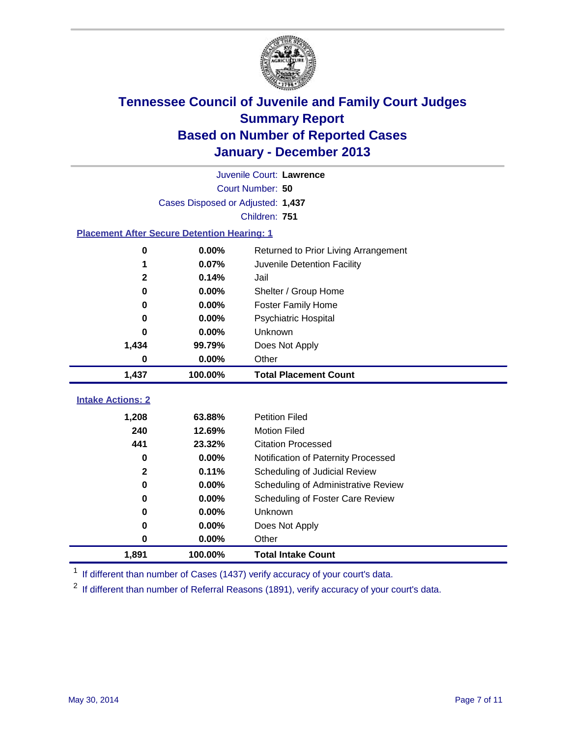

|                                                    | Juvenile Court: Lawrence          |                                      |  |  |  |
|----------------------------------------------------|-----------------------------------|--------------------------------------|--|--|--|
|                                                    | Court Number: 50                  |                                      |  |  |  |
|                                                    | Cases Disposed or Adjusted: 1,437 |                                      |  |  |  |
|                                                    | Children: 751                     |                                      |  |  |  |
| <b>Placement After Secure Detention Hearing: 1</b> |                                   |                                      |  |  |  |
| 0                                                  | 0.00%                             | Returned to Prior Living Arrangement |  |  |  |
| 1                                                  | 0.07%                             | Juvenile Detention Facility          |  |  |  |
| $\mathbf 2$                                        | 0.14%                             | Jail                                 |  |  |  |
| 0                                                  | 0.00%                             | Shelter / Group Home                 |  |  |  |
| 0                                                  | 0.00%                             | <b>Foster Family Home</b>            |  |  |  |
| 0                                                  | 0.00%                             | <b>Psychiatric Hospital</b>          |  |  |  |
| 0                                                  | 0.00%                             | Unknown                              |  |  |  |
| 1,434                                              | 99.79%                            | Does Not Apply                       |  |  |  |
| 0                                                  | 0.00%                             | Other                                |  |  |  |
| 1,437                                              | 100.00%                           | <b>Total Placement Count</b>         |  |  |  |
|                                                    |                                   |                                      |  |  |  |
| <b>Intake Actions: 2</b>                           |                                   |                                      |  |  |  |
| 1,208                                              | 63.88%                            | <b>Petition Filed</b>                |  |  |  |
| 240                                                | 12.69%                            | <b>Motion Filed</b>                  |  |  |  |
| 441                                                | 23.32%                            | <b>Citation Processed</b>            |  |  |  |
| 0                                                  | 0.00%                             | Notification of Paternity Processed  |  |  |  |
| $\mathbf 2$                                        | 0.11%                             | Scheduling of Judicial Review        |  |  |  |
| 0                                                  | 0.00%                             | Scheduling of Administrative Review  |  |  |  |
| 0                                                  | 0.00%                             | Scheduling of Foster Care Review     |  |  |  |
| 0                                                  | 0.00%                             | Unknown                              |  |  |  |
| 0                                                  | 0.00%                             | Does Not Apply                       |  |  |  |
| 0                                                  | 0.00%                             | Other                                |  |  |  |
| 1,891                                              | 100.00%                           | <b>Total Intake Count</b>            |  |  |  |

<sup>1</sup> If different than number of Cases (1437) verify accuracy of your court's data.

<sup>2</sup> If different than number of Referral Reasons (1891), verify accuracy of your court's data.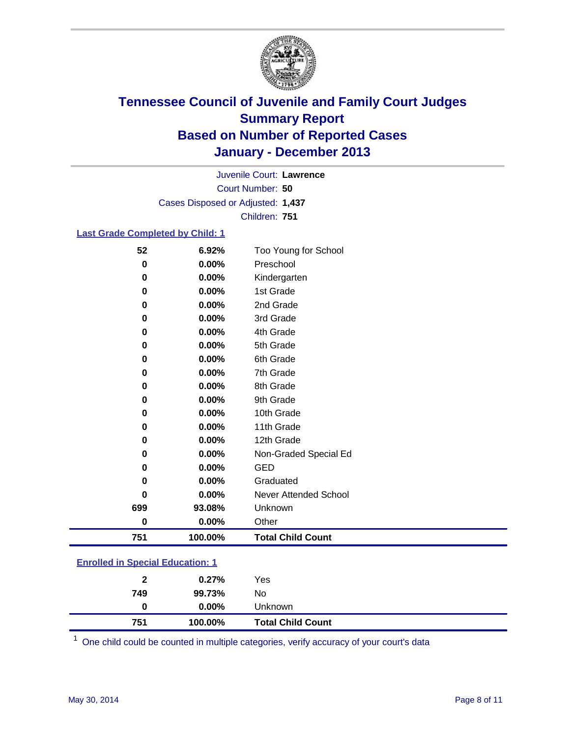

Court Number: **50** Juvenile Court: **Lawrence** Cases Disposed or Adjusted: **1,437** Children: **751**

### **Last Grade Completed by Child: 1**

| 751       | 100.00%  | <b>Total Child Count</b> |
|-----------|----------|--------------------------|
| $\pmb{0}$ | $0.00\%$ | Other                    |
| 699       | 93.08%   | Unknown                  |
| 0         | 0.00%    | Never Attended School    |
| 0         | 0.00%    | Graduated                |
| 0         | 0.00%    | <b>GED</b>               |
| 0         | 0.00%    | Non-Graded Special Ed    |
| 0         | 0.00%    | 12th Grade               |
| 0         | 0.00%    | 11th Grade               |
| 0         | 0.00%    | 10th Grade               |
| 0         | 0.00%    | 9th Grade                |
| 0         | 0.00%    | 8th Grade                |
| 0         | $0.00\%$ | 7th Grade                |
| 0         | 0.00%    | 6th Grade                |
| 0         | 0.00%    | 5th Grade                |
| 0         | 0.00%    | 4th Grade                |
| 0         | 0.00%    | 3rd Grade                |
| 0         | 0.00%    | 2nd Grade                |
| 0         | 0.00%    | 1st Grade                |
| 0         | $0.00\%$ | Kindergarten             |
| 0         | 0.00%    | Preschool                |
| 52        | 6.92%    | Too Young for School     |

### **Enrolled in Special Education: 1**

| 749 | 99.73%   | No                       |  |
|-----|----------|--------------------------|--|
| 0   | $0.00\%$ | <b>Unknown</b>           |  |
| 751 | 100.00%  | <b>Total Child Count</b> |  |

One child could be counted in multiple categories, verify accuracy of your court's data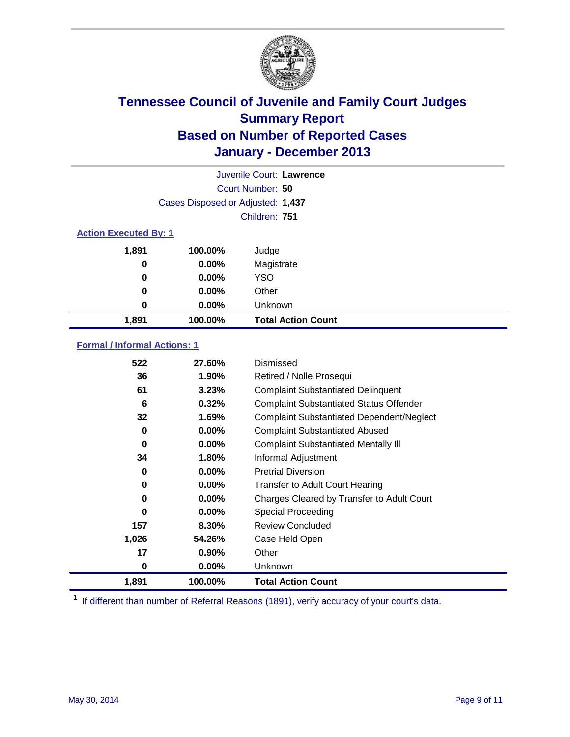

|                              | Juvenile Court: Lawrence          |                           |  |  |
|------------------------------|-----------------------------------|---------------------------|--|--|
|                              | Court Number: 50                  |                           |  |  |
|                              | Cases Disposed or Adjusted: 1,437 |                           |  |  |
|                              |                                   | Children: 751             |  |  |
| <b>Action Executed By: 1</b> |                                   |                           |  |  |
| 1,891                        | 100.00%                           | Judge                     |  |  |
| 0                            | $0.00\%$                          | Magistrate                |  |  |
| $\bf{0}$                     | $0.00\%$                          | <b>YSO</b>                |  |  |
| 0                            | $0.00\%$                          | Other                     |  |  |
| 0                            | $0.00\%$                          | Unknown                   |  |  |
| 1,891                        | 100.00%                           | <b>Total Action Count</b> |  |  |

### **Formal / Informal Actions: 1**

| 522      | 27.60%   | Dismissed                                        |
|----------|----------|--------------------------------------------------|
| 36       | $1.90\%$ | Retired / Nolle Prosequi                         |
| 61       | 3.23%    | <b>Complaint Substantiated Delinquent</b>        |
| 6        | 0.32%    | <b>Complaint Substantiated Status Offender</b>   |
| 32       | 1.69%    | <b>Complaint Substantiated Dependent/Neglect</b> |
| 0        | 0.00%    | <b>Complaint Substantiated Abused</b>            |
| $\bf{0}$ | $0.00\%$ | <b>Complaint Substantiated Mentally III</b>      |
| 34       | 1.80%    | Informal Adjustment                              |
| 0        | $0.00\%$ | <b>Pretrial Diversion</b>                        |
| 0        | 0.00%    | <b>Transfer to Adult Court Hearing</b>           |
| 0        | $0.00\%$ | Charges Cleared by Transfer to Adult Court       |
| $\bf{0}$ | $0.00\%$ | Special Proceeding                               |
| 157      | 8.30%    | <b>Review Concluded</b>                          |
| 1,026    | 54.26%   | Case Held Open                                   |
| 17       | $0.90\%$ | Other                                            |
| 0        | $0.00\%$ | Unknown                                          |
| 1,891    | 100.00%  | <b>Total Action Count</b>                        |

<sup>1</sup> If different than number of Referral Reasons (1891), verify accuracy of your court's data.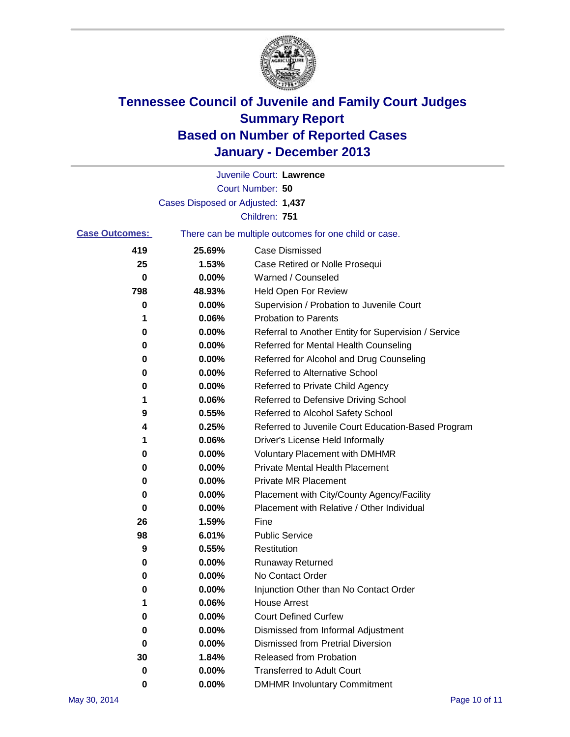

|                                                                                |                                   | Juvenile Court: Lawrence                             |
|--------------------------------------------------------------------------------|-----------------------------------|------------------------------------------------------|
|                                                                                |                                   | Court Number: 50                                     |
|                                                                                | Cases Disposed or Adjusted: 1,437 |                                                      |
|                                                                                |                                   | Children: 751                                        |
| <b>Case Outcomes:</b><br>There can be multiple outcomes for one child or case. |                                   |                                                      |
| 419                                                                            | 25.69%                            | <b>Case Dismissed</b>                                |
| 25                                                                             | 1.53%                             | Case Retired or Nolle Prosequi                       |
| 0                                                                              | 0.00%                             | Warned / Counseled                                   |
| 798                                                                            | 48.93%                            | <b>Held Open For Review</b>                          |
| 0                                                                              | 0.00%                             | Supervision / Probation to Juvenile Court            |
| 1                                                                              | 0.06%                             | <b>Probation to Parents</b>                          |
| 0                                                                              | 0.00%                             | Referral to Another Entity for Supervision / Service |
| 0                                                                              | 0.00%                             | Referred for Mental Health Counseling                |
| 0                                                                              | 0.00%                             | Referred for Alcohol and Drug Counseling             |
| 0                                                                              | 0.00%                             | <b>Referred to Alternative School</b>                |
| 0                                                                              | 0.00%                             | Referred to Private Child Agency                     |
| 1                                                                              | 0.06%                             | Referred to Defensive Driving School                 |
| 9                                                                              | 0.55%                             | Referred to Alcohol Safety School                    |
| 4                                                                              | 0.25%                             | Referred to Juvenile Court Education-Based Program   |
| 1                                                                              | 0.06%                             | Driver's License Held Informally                     |
| 0                                                                              | 0.00%                             | <b>Voluntary Placement with DMHMR</b>                |
| 0                                                                              | 0.00%                             | <b>Private Mental Health Placement</b>               |
| 0                                                                              | 0.00%                             | <b>Private MR Placement</b>                          |
| 0                                                                              | 0.00%                             | Placement with City/County Agency/Facility           |
| 0                                                                              | 0.00%                             | Placement with Relative / Other Individual           |
| 26                                                                             | 1.59%                             | Fine                                                 |
| 98                                                                             | 6.01%                             | <b>Public Service</b>                                |
| 9                                                                              | 0.55%                             | Restitution                                          |
| 0                                                                              | 0.00%                             | <b>Runaway Returned</b>                              |
| 0                                                                              | 0.00%                             | No Contact Order                                     |
| U                                                                              | 0.00%                             | Injunction Other than No Contact Order               |
| 1                                                                              | 0.06%                             | <b>House Arrest</b>                                  |
| 0                                                                              | 0.00%                             | <b>Court Defined Curfew</b>                          |
| 0                                                                              | 0.00%                             | Dismissed from Informal Adjustment                   |
| 0                                                                              | 0.00%                             | <b>Dismissed from Pretrial Diversion</b>             |
| 30                                                                             | 1.84%                             | Released from Probation                              |
| 0                                                                              | $0.00\%$                          | <b>Transferred to Adult Court</b>                    |
| 0                                                                              | $0.00\%$                          | <b>DMHMR Involuntary Commitment</b>                  |